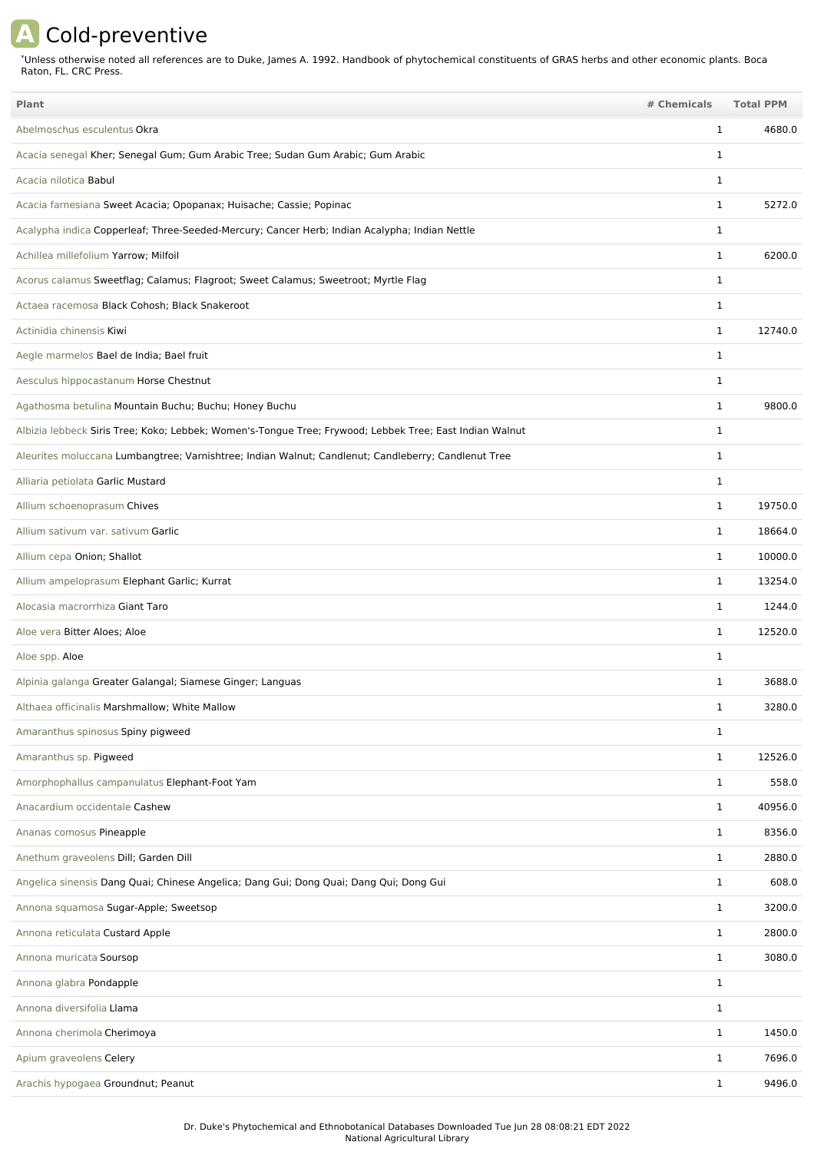## **A** Cold-preventive

Unless otherwise noted all references are to Duke, James A. 1992. Handbook of phytochemical constituents of GRAS herbs and other economic plants. Boca Raton, FL. CRC Press. \*

| Plant                                                                                                   | # Chemicals  | <b>Total PPM</b> |
|---------------------------------------------------------------------------------------------------------|--------------|------------------|
| Abelmoschus esculentus Okra                                                                             | 1            | 4680.0           |
| Acacia senegal Kher; Senegal Gum; Gum Arabic Tree; Sudan Gum Arabic; Gum Arabic                         | 1            |                  |
| Acacia nilotica Babul                                                                                   | 1            |                  |
| Acacia farnesiana Sweet Acacia; Opopanax; Huisache; Cassie; Popinac                                     | 1            | 5272.0           |
| Acalypha indica Copperleaf; Three-Seeded-Mercury; Cancer Herb; Indian Acalypha; Indian Nettle           | 1            |                  |
| Achillea millefolium Yarrow; Milfoil                                                                    | 1            | 6200.0           |
| Acorus calamus Sweetflag; Calamus; Flagroot; Sweet Calamus; Sweetroot; Myrtle Flag                      | 1            |                  |
| Actaea racemosa Black Cohosh; Black Snakeroot                                                           | 1            |                  |
| Actinidia chinensis Kiwi                                                                                | 1            | 12740.0          |
| Aegle marmelos Bael de India; Bael fruit                                                                | 1            |                  |
| Aesculus hippocastanum Horse Chestnut                                                                   | 1            |                  |
| Agathosma betulina Mountain Buchu; Buchu; Honey Buchu                                                   | 1            | 9800.0           |
| Albizia lebbeck Siris Tree; Koko; Lebbek; Women's-Tongue Tree; Frywood; Lebbek Tree; East Indian Walnut | 1            |                  |
| Aleurites moluccana Lumbangtree; Varnishtree; Indian Walnut; Candlenut; Candleberry; Candlenut Tree     | 1            |                  |
| Alliaria petiolata Garlic Mustard                                                                       | 1            |                  |
| Allium schoenoprasum Chives                                                                             | 1            | 19750.0          |
| Allium sativum var. sativum Garlic                                                                      | 1            | 18664.0          |
| Allium cepa Onion; Shallot                                                                              | 1            | 10000.0          |
| Allium ampeloprasum Elephant Garlic; Kurrat                                                             | $\mathbf{1}$ | 13254.0          |
| Alocasia macrorrhiza Giant Taro                                                                         | 1            | 1244.0           |
| Aloe vera Bitter Aloes; Aloe                                                                            | $\mathbf 1$  | 12520.0          |
| Aloe spp. Aloe                                                                                          | 1            |                  |
| Alpinia galanga Greater Galangal; Siamese Ginger; Languas                                               | 1            | 3688.0           |
| Althaea officinalis Marshmallow; White Mallow                                                           | 1            | 3280.0           |
| Amaranthus spinosus Spiny pigweed                                                                       | $\mathbf 1$  |                  |
| Amaranthus sp. Pigweed                                                                                  | 1            | 12526.0          |
| Amorphophallus campanulatus Elephant-Foot Yam                                                           | $\mathbf 1$  | 558.0            |
| Anacardium occidentale Cashew                                                                           | $\mathbf{1}$ | 40956.0          |
| Ananas comosus Pineapple                                                                                | $\mathbf{1}$ | 8356.0           |
| Anethum graveolens Dill; Garden Dill                                                                    | $\mathbf{1}$ | 2880.0           |
| Angelica sinensis Dang Quai; Chinese Angelica; Dang Gui; Dong Quai; Dang Qui; Dong Gui                  | $\mathbf 1$  | 608.0            |
| Annona squamosa Sugar-Apple; Sweetsop                                                                   | $\mathbf{1}$ | 3200.0           |
| Annona reticulata Custard Apple                                                                         | $\mathbf{1}$ | 2800.0           |
| Annona muricata Soursop                                                                                 | $\mathbf{1}$ | 3080.0           |
| Annona glabra Pondapple                                                                                 | $\mathbf 1$  |                  |
| Annona diversifolia Llama                                                                               | 1            |                  |
| Annona cherimola Cherimoya                                                                              | $\mathbf{1}$ | 1450.0           |
| Apium graveolens Celery                                                                                 | 1            | 7696.0           |
| Arachis hypogaea Groundnut; Peanut                                                                      | 1            | 9496.0           |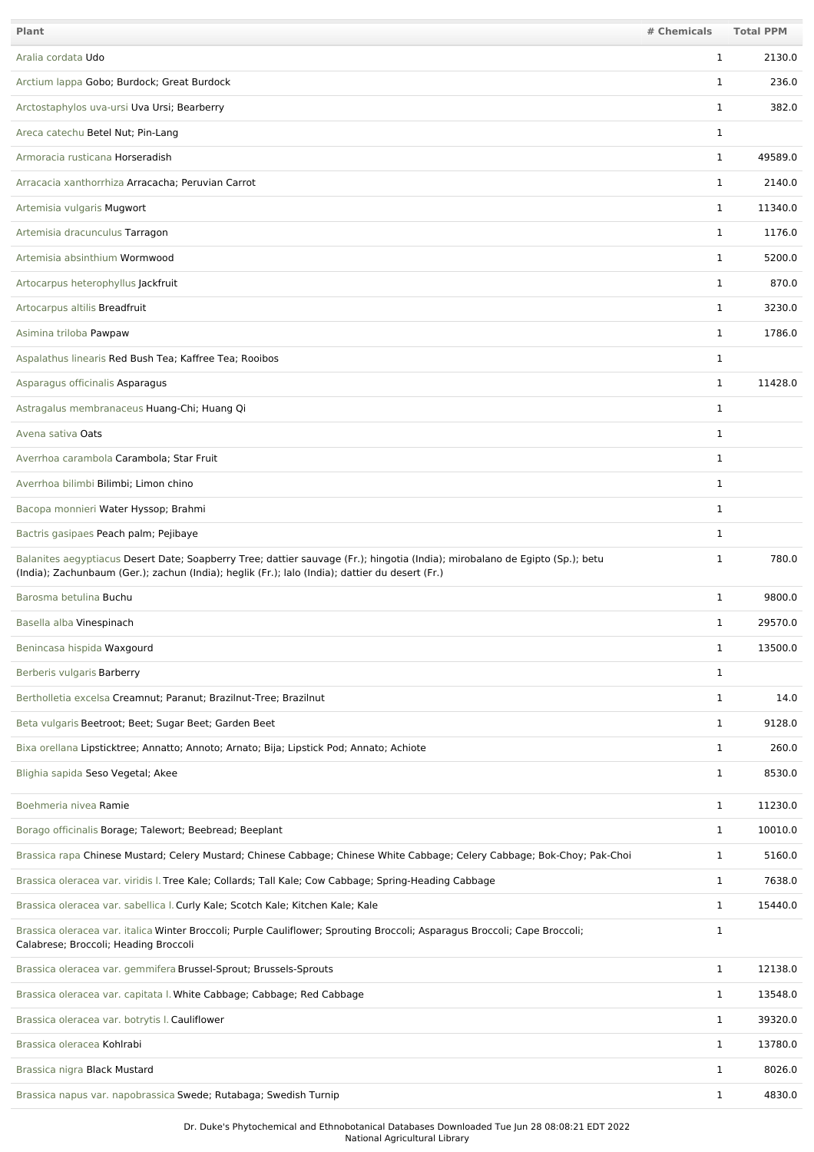| <b>Plant</b>                                                                                                                                                                                                                    | # Chemicals  | <b>Total PPM</b> |
|---------------------------------------------------------------------------------------------------------------------------------------------------------------------------------------------------------------------------------|--------------|------------------|
| Aralia cordata Udo                                                                                                                                                                                                              | 1            | 2130.0           |
| Arctium lappa Gobo; Burdock; Great Burdock                                                                                                                                                                                      | $\mathbf 1$  | 236.0            |
| Arctostaphylos uva-ursi Uva Ursi; Bearberry                                                                                                                                                                                     | 1            | 382.0            |
| Areca catechu Betel Nut; Pin-Lang                                                                                                                                                                                               | 1            |                  |
| Armoracia rusticana Horseradish                                                                                                                                                                                                 | $\mathbf 1$  | 49589.0          |
| Arracacia xanthorrhiza Arracacha; Peruvian Carrot                                                                                                                                                                               | 1            | 2140.0           |
| Artemisia vulgaris Mugwort                                                                                                                                                                                                      | $\mathbf{1}$ | 11340.0          |
| Artemisia dracunculus Tarragon                                                                                                                                                                                                  | $\mathbf 1$  | 1176.0           |
| Artemisia absinthium Wormwood                                                                                                                                                                                                   | $\mathbf{1}$ | 5200.0           |
| Artocarpus heterophyllus Jackfruit                                                                                                                                                                                              | $\mathbf{1}$ | 870.0            |
| Artocarpus altilis Breadfruit                                                                                                                                                                                                   | $\mathbf{1}$ | 3230.0           |
| Asimina triloba Pawpaw                                                                                                                                                                                                          | $\mathbf 1$  | 1786.0           |
| Aspalathus linearis Red Bush Tea; Kaffree Tea; Rooibos                                                                                                                                                                          | 1            |                  |
| Asparagus officinalis Asparagus                                                                                                                                                                                                 | 1            | 11428.0          |
| Astragalus membranaceus Huang-Chi; Huang Qi                                                                                                                                                                                     | 1            |                  |
| Avena sativa Oats                                                                                                                                                                                                               | 1            |                  |
| Averrhoa carambola Carambola; Star Fruit                                                                                                                                                                                        | 1            |                  |
| Averrhoa bilimbi Bilimbi; Limon chino                                                                                                                                                                                           | 1            |                  |
| Bacopa monnieri Water Hyssop; Brahmi                                                                                                                                                                                            | $\mathbf{1}$ |                  |
| Bactris gasipaes Peach palm; Pejibaye                                                                                                                                                                                           | 1            |                  |
| Balanites aegyptiacus Desert Date; Soapberry Tree; dattier sauvage (Fr.); hingotia (India); mirobalano de Egipto (Sp.); betu<br>(India); Zachunbaum (Ger.); zachun (India); heglik (Fr.); lalo (India); dattier du desert (Fr.) | 1            | 780.0            |
| Barosma betulina Buchu                                                                                                                                                                                                          | $\mathbf 1$  | 9800.0           |
| Basella alba Vinespinach                                                                                                                                                                                                        | 1            | 29570.0          |
| Benincasa hispida Waxgourd                                                                                                                                                                                                      | 1            | 13500.0          |
| Berberis vulgaris Barberry                                                                                                                                                                                                      | 1            |                  |
| Bertholletia excelsa Creamnut; Paranut; Brazilnut-Tree; Brazilnut                                                                                                                                                               | 1            | 14.0             |
| Beta vulgaris Beetroot; Beet; Sugar Beet; Garden Beet                                                                                                                                                                           | 1            | 9128.0           |
| Bixa orellana Lipsticktree; Annatto; Annoto; Arnato; Bija; Lipstick Pod; Annato; Achiote                                                                                                                                        | 1            | 260.0            |
| Blighia sapida Seso Vegetal; Akee                                                                                                                                                                                               | 1            | 8530.0           |
| Boehmeria nivea Ramie                                                                                                                                                                                                           | $\mathbf 1$  | 11230.0          |
| Borago officinalis Borage; Talewort; Beebread; Beeplant                                                                                                                                                                         | 1            | 10010.0          |
| Brassica rapa Chinese Mustard; Celery Mustard; Chinese Cabbage; Chinese White Cabbage; Celery Cabbage; Bok-Choy; Pak-Choi                                                                                                       | 1            | 5160.0           |
| Brassica oleracea var. viridis I. Tree Kale; Collards; Tall Kale; Cow Cabbage; Spring-Heading Cabbage                                                                                                                           | 1            | 7638.0           |
| Brassica oleracea var. sabellica I. Curly Kale; Scotch Kale; Kitchen Kale; Kale                                                                                                                                                 | 1            | 15440.0          |
| Brassica oleracea var. italica Winter Broccoli; Purple Cauliflower; Sprouting Broccoli; Asparagus Broccoli; Cape Broccoli;<br>Calabrese; Broccoli; Heading Broccoli                                                             | 1            |                  |
| Brassica oleracea var. gemmifera Brussel-Sprout; Brussels-Sprouts                                                                                                                                                               | $\mathbf 1$  | 12138.0          |
| Brassica oleracea var. capitata I. White Cabbage; Cabbage; Red Cabbage                                                                                                                                                          | 1            | 13548.0          |
| Brassica oleracea var. botrytis I. Cauliflower                                                                                                                                                                                  | 1            | 39320.0          |
| Brassica oleracea Kohlrabi                                                                                                                                                                                                      | 1            | 13780.0          |
| Brassica nigra Black Mustard                                                                                                                                                                                                    | 1            | 8026.0           |
| Brassica napus var. napobrassica Swede; Rutabaga; Swedish Turnip                                                                                                                                                                | 1            | 4830.0           |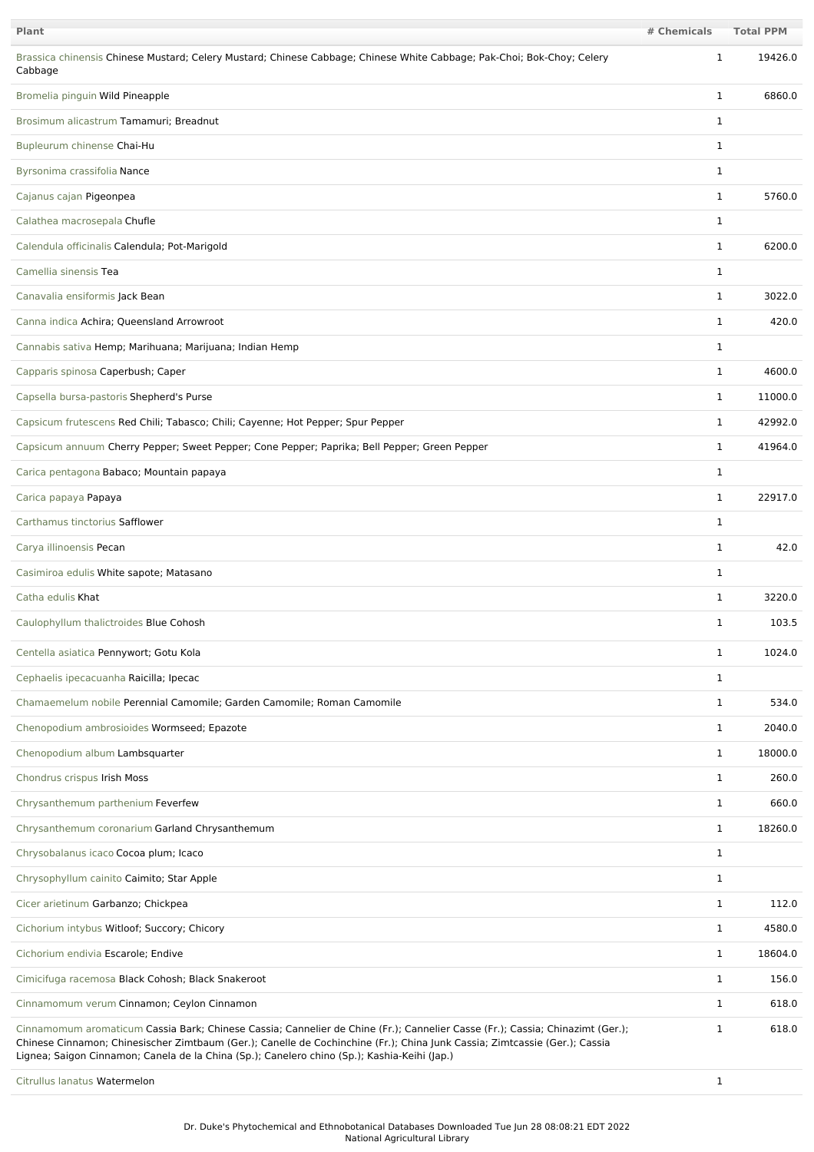| <b>Plant</b>                                                                                                                                                                                                                                                                                                                                                | # Chemicals  | <b>Total PPM</b> |
|-------------------------------------------------------------------------------------------------------------------------------------------------------------------------------------------------------------------------------------------------------------------------------------------------------------------------------------------------------------|--------------|------------------|
| Brassica chinensis Chinese Mustard; Celery Mustard; Chinese Cabbage; Chinese White Cabbage; Pak-Choi; Bok-Choy; Celery<br>Cabbage                                                                                                                                                                                                                           | $\mathbf{1}$ | 19426.0          |
| Bromelia pinguin Wild Pineapple                                                                                                                                                                                                                                                                                                                             | 1            | 6860.0           |
| Brosimum alicastrum Tamamuri: Breadnut                                                                                                                                                                                                                                                                                                                      | 1            |                  |
| Bupleurum chinense Chai-Hu                                                                                                                                                                                                                                                                                                                                  | $\mathbf{1}$ |                  |
| Byrsonima crassifolia Nance                                                                                                                                                                                                                                                                                                                                 | $\mathbf{1}$ |                  |
| Cajanus cajan Pigeonpea                                                                                                                                                                                                                                                                                                                                     | $\mathbf{1}$ | 5760.0           |
| Calathea macrosepala Chufle                                                                                                                                                                                                                                                                                                                                 | $\mathbf{1}$ |                  |
| Calendula officinalis Calendula; Pot-Marigold                                                                                                                                                                                                                                                                                                               | 1            | 6200.0           |
| Camellia sinensis Tea                                                                                                                                                                                                                                                                                                                                       | 1            |                  |
| Canavalia ensiformis Jack Bean                                                                                                                                                                                                                                                                                                                              | 1            | 3022.0           |
| Canna indica Achira; Queensland Arrowroot                                                                                                                                                                                                                                                                                                                   | 1            | 420.0            |
| Cannabis sativa Hemp; Marihuana; Marijuana; Indian Hemp                                                                                                                                                                                                                                                                                                     | 1            |                  |
| Capparis spinosa Caperbush; Caper                                                                                                                                                                                                                                                                                                                           | $\mathbf{1}$ | 4600.0           |
| Capsella bursa-pastoris Shepherd's Purse                                                                                                                                                                                                                                                                                                                    | $\mathbf{1}$ | 11000.0          |
| Capsicum frutescens Red Chili; Tabasco; Chili; Cayenne; Hot Pepper; Spur Pepper                                                                                                                                                                                                                                                                             | $\mathbf{1}$ | 42992.0          |
| Capsicum annuum Cherry Pepper; Sweet Pepper; Cone Pepper; Paprika; Bell Pepper; Green Pepper                                                                                                                                                                                                                                                                | $\mathbf{1}$ | 41964.0          |
| Carica pentagona Babaco; Mountain papaya                                                                                                                                                                                                                                                                                                                    | 1            |                  |
| Carica papaya Papaya                                                                                                                                                                                                                                                                                                                                        | $\mathbf{1}$ | 22917.0          |
| Carthamus tinctorius Safflower                                                                                                                                                                                                                                                                                                                              | 1            |                  |
| Carya illinoensis Pecan                                                                                                                                                                                                                                                                                                                                     | $\mathbf{1}$ | 42.0             |
| Casimiroa edulis White sapote; Matasano                                                                                                                                                                                                                                                                                                                     | 1            |                  |
| Catha edulis Khat                                                                                                                                                                                                                                                                                                                                           | 1            | 3220.0           |
| Caulophyllum thalictroides Blue Cohosh                                                                                                                                                                                                                                                                                                                      | $\mathbf{1}$ | 103.5            |
| Centella asiatica Pennywort; Gotu Kola                                                                                                                                                                                                                                                                                                                      | $\mathbf{1}$ | 1024.0           |
| Cephaelis ipecacuanha Raicilla; Ipecac                                                                                                                                                                                                                                                                                                                      | $\mathbf{1}$ |                  |
| Chamaemelum nobile Perennial Camomile; Garden Camomile; Roman Camomile                                                                                                                                                                                                                                                                                      | $\mathbf{1}$ | 534.0            |
| Chenopodium ambrosioides Wormseed; Epazote                                                                                                                                                                                                                                                                                                                  | $\mathbf{1}$ | 2040.0           |
| Chenopodium album Lambsquarter                                                                                                                                                                                                                                                                                                                              | $\mathbf{1}$ | 18000.0          |
| Chondrus crispus Irish Moss                                                                                                                                                                                                                                                                                                                                 | $\mathbf{1}$ | 260.0            |
| Chrysanthemum parthenium Feverfew                                                                                                                                                                                                                                                                                                                           | $\mathbf{1}$ | 660.0            |
| Chrysanthemum coronarium Garland Chrysanthemum                                                                                                                                                                                                                                                                                                              | $\mathbf{1}$ | 18260.0          |
| Chrysobalanus icaco Cocoa plum; Icaco                                                                                                                                                                                                                                                                                                                       | $\mathbf{1}$ |                  |
| Chrysophyllum cainito Caimito; Star Apple                                                                                                                                                                                                                                                                                                                   | $\mathbf{1}$ |                  |
| Cicer arietinum Garbanzo; Chickpea                                                                                                                                                                                                                                                                                                                          | $\mathbf{1}$ | 112.0            |
| Cichorium intybus Witloof; Succory; Chicory                                                                                                                                                                                                                                                                                                                 | $\mathbf{1}$ | 4580.0           |
| Cichorium endivia Escarole; Endive                                                                                                                                                                                                                                                                                                                          | $\mathbf{1}$ | 18604.0          |
| Cimicifuga racemosa Black Cohosh; Black Snakeroot                                                                                                                                                                                                                                                                                                           | $\mathbf{1}$ | 156.0            |
| Cinnamomum verum Cinnamon; Ceylon Cinnamon                                                                                                                                                                                                                                                                                                                  | $\mathbf{1}$ | 618.0            |
| Cinnamomum aromaticum Cassia Bark; Chinese Cassia; Cannelier de Chine (Fr.); Cannelier Casse (Fr.); Cassia; Chinazimt (Ger.);<br>Chinese Cinnamon; Chinesischer Zimtbaum (Ger.); Canelle de Cochinchine (Fr.); China Junk Cassia; Zimtcassie (Ger.); Cassia<br>Lignea; Saigon Cinnamon; Canela de la China (Sp.); Canelero chino (Sp.); Kashia-Keihi (Jap.) | $\mathbf{1}$ | 618.0            |
| Citrullus lanatus Watermelon                                                                                                                                                                                                                                                                                                                                | $\mathbf{1}$ |                  |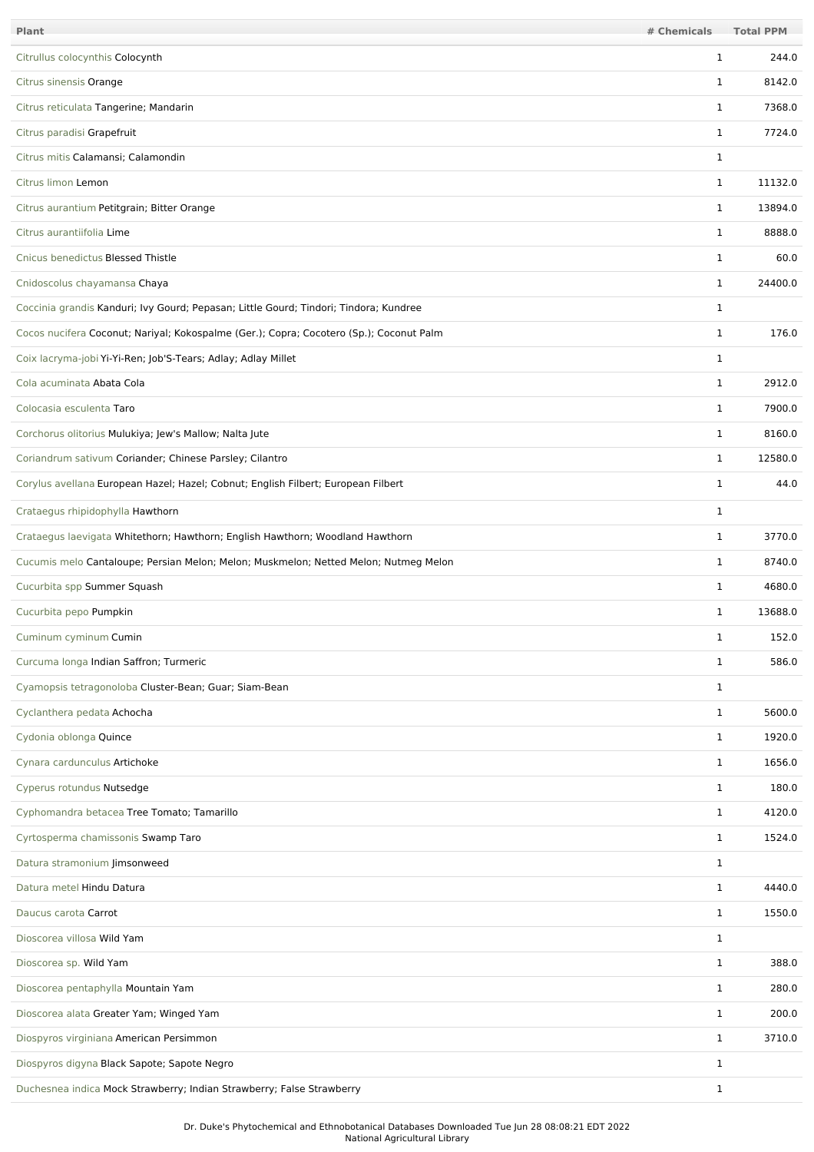| <b>Plant</b>                                                                            | # Chemicals  | <b>Total PPM</b> |
|-----------------------------------------------------------------------------------------|--------------|------------------|
| Citrullus colocynthis Colocynth                                                         | $\mathbf{1}$ | 244.0            |
| Citrus sinensis Orange                                                                  | 1            | 8142.0           |
| Citrus reticulata Tangerine; Mandarin                                                   | $\mathbf{1}$ | 7368.0           |
| Citrus paradisi Grapefruit                                                              | $\mathbf{1}$ | 7724.0           |
| Citrus mitis Calamansi; Calamondin                                                      | 1            |                  |
| Citrus limon Lemon                                                                      | $\mathbf{1}$ | 11132.0          |
| Citrus aurantium Petitgrain; Bitter Orange                                              | $\mathbf{1}$ | 13894.0          |
| Citrus aurantiifolia Lime                                                               | $\mathbf{1}$ | 8888.0           |
| Cnicus benedictus Blessed Thistle                                                       | $\mathbf{1}$ | 60.0             |
| Cnidoscolus chayamansa Chaya                                                            | $\mathbf{1}$ | 24400.0          |
| Coccinia grandis Kanduri; Ivy Gourd; Pepasan; Little Gourd; Tindori; Tindora; Kundree   | 1            |                  |
| Cocos nucifera Coconut; Nariyal; Kokospalme (Ger.); Copra; Cocotero (Sp.); Coconut Palm | $\mathbf 1$  | 176.0            |
| Coix lacryma-jobi Yi-Yi-Ren; Job'S-Tears; Adlay; Adlay Millet                           | $\mathbf{1}$ |                  |
| Cola acuminata Abata Cola                                                               | $\mathbf{1}$ | 2912.0           |
| Colocasia esculenta Taro                                                                | 1            | 7900.0           |
| Corchorus olitorius Mulukiya; Jew's Mallow; Nalta Jute                                  | $\mathbf{1}$ | 8160.0           |
| Coriandrum sativum Coriander; Chinese Parsley; Cilantro                                 | $\mathbf{1}$ | 12580.0          |
| Corylus avellana European Hazel; Hazel; Cobnut; English Filbert; European Filbert       | $\mathbf{1}$ | 44.0             |
| Crataegus rhipidophylla Hawthorn                                                        | $\mathbf 1$  |                  |
| Crataegus laevigata Whitethorn; Hawthorn; English Hawthorn; Woodland Hawthorn           | $\mathbf{1}$ | 3770.0           |
| Cucumis melo Cantaloupe; Persian Melon; Melon; Muskmelon; Netted Melon; Nutmeg Melon    | $\mathbf{1}$ | 8740.0           |
| Cucurbita spp Summer Squash                                                             | 1            | 4680.0           |
| Cucurbita pepo Pumpkin                                                                  | $\mathbf{1}$ | 13688.0          |
| Cuminum cyminum Cumin                                                                   | ı            | 152.0            |
| Curcuma longa Indian Saffron; Turmeric                                                  | $\mathbf{1}$ | 586.0            |
| Cyamopsis tetragonoloba Cluster-Bean; Guar; Siam-Bean                                   | $\mathbf{1}$ |                  |
| Cyclanthera pedata Achocha                                                              | $\mathbf{1}$ | 5600.0           |
| Cydonia oblonga Quince                                                                  | $\mathbf{1}$ | 1920.0           |
| Cynara cardunculus Artichoke                                                            | $\mathbf{1}$ | 1656.0           |
| Cyperus rotundus Nutsedge                                                               | $\mathbf{1}$ | 180.0            |
| Cyphomandra betacea Tree Tomato; Tamarillo                                              | $\mathbf{1}$ | 4120.0           |
| Cyrtosperma chamissonis Swamp Taro                                                      | $\mathbf{1}$ | 1524.0           |
| Datura stramonium Jimsonweed                                                            | $\mathbf{1}$ |                  |
| Datura metel Hindu Datura                                                               | $\mathbf{1}$ | 4440.0           |
| Daucus carota Carrot                                                                    | $\mathbf{1}$ | 1550.0           |
| Dioscorea villosa Wild Yam                                                              | $\mathbf{1}$ |                  |
| Dioscorea sp. Wild Yam                                                                  | $\mathbf{1}$ | 388.0            |
| Dioscorea pentaphylla Mountain Yam                                                      | $\mathbf{1}$ | 280.0            |
| Dioscorea alata Greater Yam; Winged Yam                                                 | $\mathbf{1}$ | 200.0            |
| Diospyros virginiana American Persimmon                                                 | $\mathbf{1}$ | 3710.0           |
| Diospyros digyna Black Sapote; Sapote Negro                                             | $\mathbf{1}$ |                  |
| Duchesnea indica Mock Strawberry; Indian Strawberry; False Strawberry                   | 1            |                  |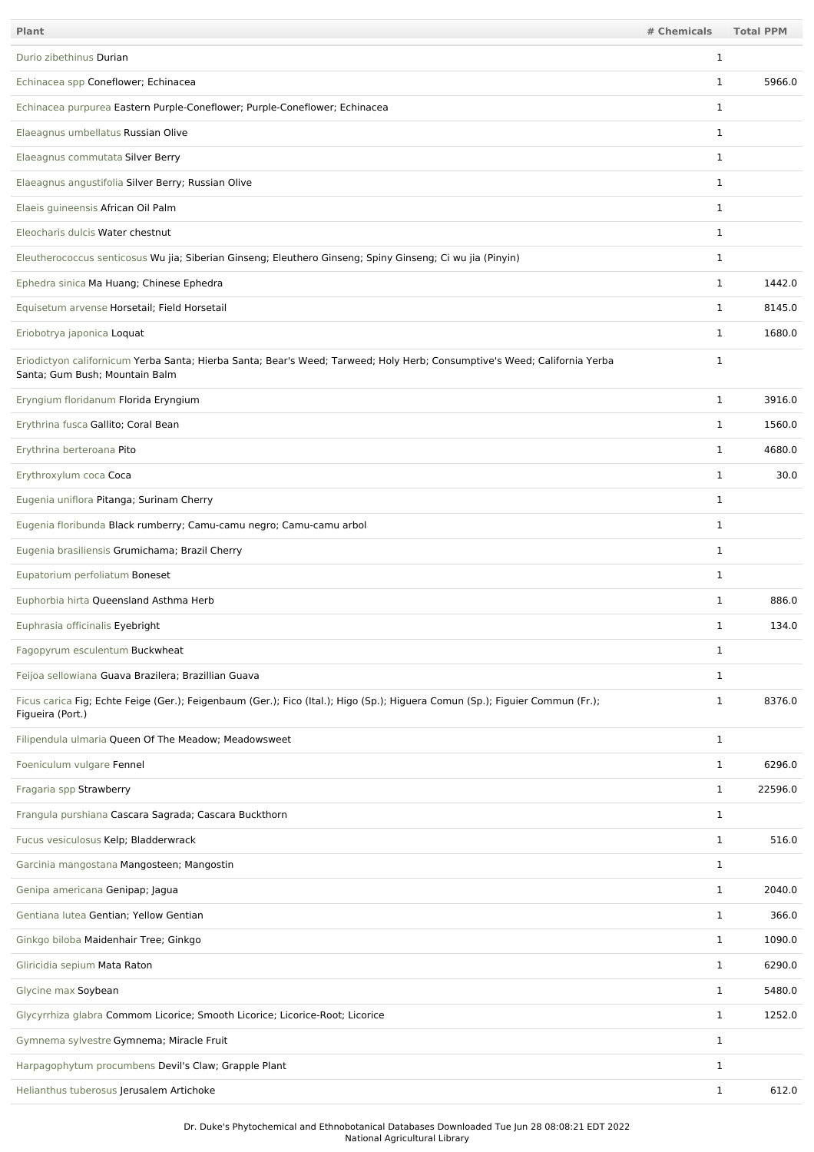| Plant                                                                                                                                                       | # Chemicals  | <b>Total PPM</b> |
|-------------------------------------------------------------------------------------------------------------------------------------------------------------|--------------|------------------|
| Durio zibethinus Durian                                                                                                                                     | 1            |                  |
| Echinacea spp Coneflower; Echinacea                                                                                                                         | $\mathbf{1}$ | 5966.0           |
| Echinacea purpurea Eastern Purple-Coneflower; Purple-Coneflower; Echinacea                                                                                  | $\mathbf{1}$ |                  |
| Elaeagnus umbellatus Russian Olive                                                                                                                          | $\mathbf{1}$ |                  |
| Elaeagnus commutata Silver Berry                                                                                                                            | $\mathbf{1}$ |                  |
| Elaeagnus angustifolia Silver Berry; Russian Olive                                                                                                          | $\mathbf{1}$ |                  |
| Elaeis guineensis African Oil Palm                                                                                                                          | $\mathbf{1}$ |                  |
| Eleocharis dulcis Water chestnut                                                                                                                            | 1            |                  |
| Eleutherococcus senticosus Wu jia; Siberian Ginseng; Eleuthero Ginseng; Spiny Ginseng; Ci wu jia (Pinyin)                                                   | $\mathbf{1}$ |                  |
| Ephedra sinica Ma Huang; Chinese Ephedra                                                                                                                    | $\mathbf{1}$ | 1442.0           |
| Equisetum arvense Horsetail; Field Horsetail                                                                                                                | $\mathbf{1}$ | 8145.0           |
| Eriobotrya japonica Loquat                                                                                                                                  | 1            | 1680.0           |
| Eriodictyon californicum Yerba Santa; Hierba Santa; Bear's Weed; Tarweed; Holy Herb; Consumptive's Weed; California Yerba<br>Santa; Gum Bush; Mountain Balm | 1            |                  |
| Eryngium floridanum Florida Eryngium                                                                                                                        | $\mathbf{1}$ | 3916.0           |
| Erythrina fusca Gallito; Coral Bean                                                                                                                         | $\mathbf{1}$ | 1560.0           |
| Erythrina berteroana Pito                                                                                                                                   | $\mathbf{1}$ | 4680.0           |
| Erythroxylum coca Coca                                                                                                                                      | 1            | 30.0             |
| Eugenia uniflora Pitanga; Surinam Cherry                                                                                                                    | $\mathbf{1}$ |                  |
| Eugenia floribunda Black rumberry; Camu-camu negro; Camu-camu arbol                                                                                         | 1            |                  |
| Eugenia brasiliensis Grumichama; Brazil Cherry                                                                                                              | $\mathbf{1}$ |                  |
| Eupatorium perfoliatum Boneset                                                                                                                              | $\mathbf{1}$ |                  |
| Euphorbia hirta Queensland Asthma Herb                                                                                                                      | $\mathbf{1}$ | 886.0            |
| Euphrasia officinalis Eyebright                                                                                                                             | 1            | 134.0            |
| Fagopyrum esculentum Buckwheat                                                                                                                              | $\mathbf{1}$ |                  |
| Feijoa sellowiana Guava Brazilera; Brazillian Guava                                                                                                         | $\mathbf{1}$ |                  |
| Ficus carica Fig; Echte Feige (Ger.); Feigenbaum (Ger.); Fico (Ital.); Higo (Sp.); Higuera Comun (Sp.); Figuier Commun (Fr.);<br>Figueira (Port.)           | $\mathbf{1}$ | 8376.0           |
| Filipendula ulmaria Queen Of The Meadow; Meadowsweet                                                                                                        | $\mathbf{1}$ |                  |
| Foeniculum vulgare Fennel                                                                                                                                   | $\mathbf{1}$ | 6296.0           |
| Fragaria spp Strawberry                                                                                                                                     | $\mathbf{1}$ | 22596.0          |
| Frangula purshiana Cascara Sagrada; Cascara Buckthorn                                                                                                       | $\mathbf{1}$ |                  |
| Fucus vesiculosus Kelp; Bladderwrack                                                                                                                        | $\mathbf{1}$ | 516.0            |
| Garcinia mangostana Mangosteen; Mangostin                                                                                                                   | $\mathbf{1}$ |                  |
| Genipa americana Genipap; Jagua                                                                                                                             | $\mathbf{1}$ | 2040.0           |
| Gentiana lutea Gentian; Yellow Gentian                                                                                                                      | $\mathbf{1}$ | 366.0            |
| Ginkgo biloba Maidenhair Tree; Ginkgo                                                                                                                       | $\mathbf{1}$ | 1090.0           |
| Gliricidia sepium Mata Raton                                                                                                                                | 1            | 6290.0           |
| Glycine max Soybean                                                                                                                                         | $\mathbf{1}$ | 5480.0           |
| Glycyrrhiza glabra Commom Licorice; Smooth Licorice; Licorice-Root; Licorice                                                                                | $\mathbf{1}$ | 1252.0           |
| Gymnema sylvestre Gymnema; Miracle Fruit                                                                                                                    | $\mathbf{1}$ |                  |
| Harpagophytum procumbens Devil's Claw; Grapple Plant                                                                                                        | $\mathbf{1}$ |                  |
| Helianthus tuberosus Jerusalem Artichoke                                                                                                                    | $\mathbf{1}$ | 612.0            |

Dr. Duke's Phytochemical and Ethnobotanical Databases Downloaded Tue Jun 28 08:08:21 EDT 2022 National Agricultural Library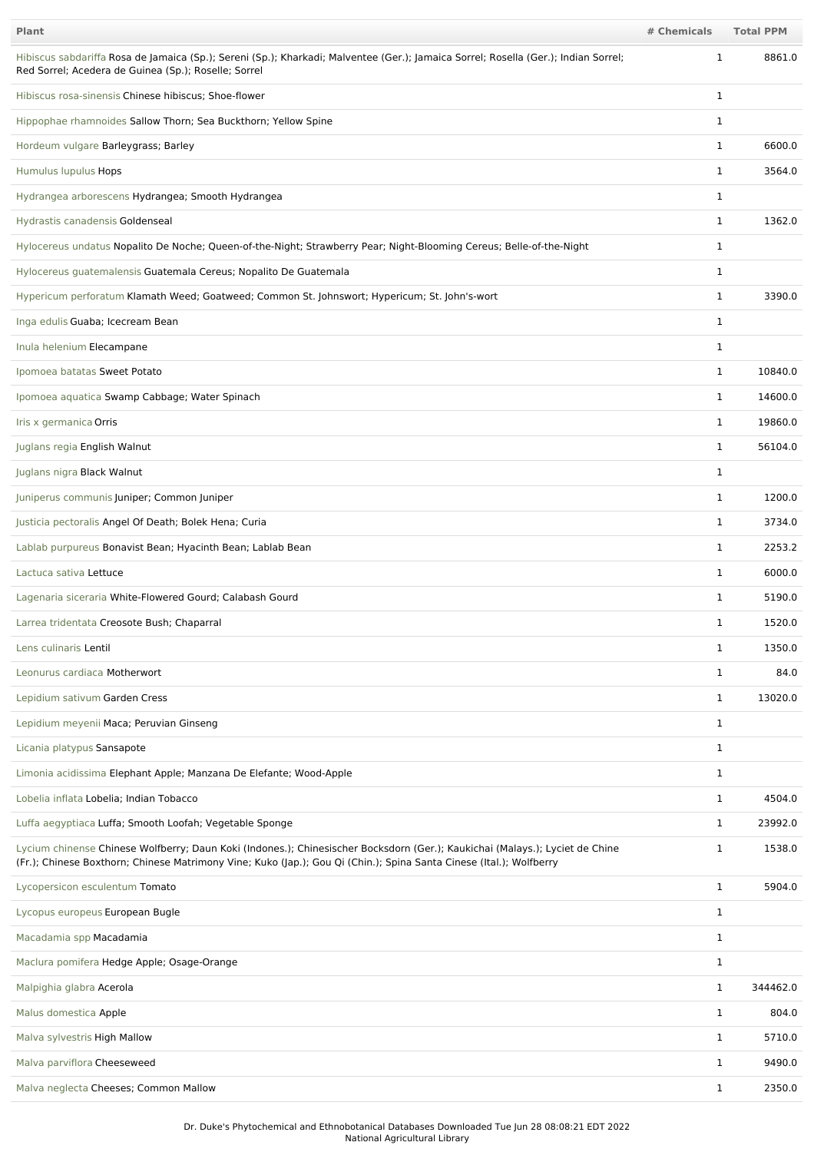| <b>Plant</b>                                                                                                                                                                                                                                        | # Chemicals  | <b>Total PPM</b> |
|-----------------------------------------------------------------------------------------------------------------------------------------------------------------------------------------------------------------------------------------------------|--------------|------------------|
| Hibiscus sabdariffa Rosa de Jamaica (Sp.); Sereni (Sp.); Kharkadi; Malventee (Ger.); Jamaica Sorrel; Rosella (Ger.); Indian Sorrel;<br>Red Sorrel; Acedera de Guinea (Sp.); Roselle; Sorrel                                                         | 1            | 8861.0           |
| Hibiscus rosa-sinensis Chinese hibiscus; Shoe-flower                                                                                                                                                                                                | $\mathbf 1$  |                  |
| Hippophae rhamnoides Sallow Thorn; Sea Buckthorn; Yellow Spine                                                                                                                                                                                      | $\mathbf{1}$ |                  |
| Hordeum vulgare Barleygrass; Barley                                                                                                                                                                                                                 | $\mathbf 1$  | 6600.0           |
| Humulus lupulus Hops                                                                                                                                                                                                                                | $\mathbf 1$  | 3564.0           |
| Hydrangea arborescens Hydrangea; Smooth Hydrangea                                                                                                                                                                                                   | 1            |                  |
| Hydrastis canadensis Goldenseal                                                                                                                                                                                                                     | $\mathbf 1$  | 1362.0           |
| Hylocereus undatus Nopalito De Noche; Queen-of-the-Night; Strawberry Pear; Night-Blooming Cereus; Belle-of-the-Night                                                                                                                                | 1            |                  |
| Hylocereus guatemalensis Guatemala Cereus; Nopalito De Guatemala                                                                                                                                                                                    | 1            |                  |
| Hypericum perforatum Klamath Weed; Goatweed; Common St. Johnswort; Hypericum; St. John's-wort                                                                                                                                                       | $\mathbf 1$  | 3390.0           |
| Inga edulis Guaba; Icecream Bean                                                                                                                                                                                                                    | $\mathbf 1$  |                  |
| Inula helenium Elecampane                                                                                                                                                                                                                           | $\mathbf 1$  |                  |
| Ipomoea batatas Sweet Potato                                                                                                                                                                                                                        | $\mathbf{1}$ | 10840.0          |
| Ipomoea aquatica Swamp Cabbage; Water Spinach                                                                                                                                                                                                       | $\mathbf 1$  | 14600.0          |
| Iris x germanica Orris                                                                                                                                                                                                                              | $\mathbf 1$  | 19860.0          |
| Juglans regia English Walnut                                                                                                                                                                                                                        | $\mathbf{1}$ | 56104.0          |
| Juglans nigra Black Walnut                                                                                                                                                                                                                          | 1            |                  |
| Juniperus communis Juniper; Common Juniper                                                                                                                                                                                                          | 1            | 1200.0           |
| Justicia pectoralis Angel Of Death; Bolek Hena; Curia                                                                                                                                                                                               | $\mathbf 1$  | 3734.0           |
| Lablab purpureus Bonavist Bean; Hyacinth Bean; Lablab Bean                                                                                                                                                                                          | $\mathbf 1$  | 2253.2           |
| Lactuca sativa Lettuce                                                                                                                                                                                                                              | $\mathbf 1$  | 6000.0           |
| Lagenaria siceraria White-Flowered Gourd; Calabash Gourd                                                                                                                                                                                            | $\mathbf 1$  | 5190.0           |
| Larrea tridentata Creosote Bush; Chaparral                                                                                                                                                                                                          | 1            | 1520.0           |
| Lens culinaris Lentil                                                                                                                                                                                                                               | $\mathbf 1$  | 1350.0           |
| Leonurus cardiaca Motherwort                                                                                                                                                                                                                        | $\mathbf 1$  | 84.0             |
| Lepidium sativum Garden Cress                                                                                                                                                                                                                       | $\mathbf 1$  | 13020.0          |
| Lepidium meyenii Maca; Peruvian Ginseng                                                                                                                                                                                                             | $\mathbf 1$  |                  |
| Licania platypus Sansapote                                                                                                                                                                                                                          | $\mathbf 1$  |                  |
| Limonia acidissima Elephant Apple; Manzana De Elefante; Wood-Apple                                                                                                                                                                                  | $\mathbf{1}$ |                  |
| Lobelia inflata Lobelia; Indian Tobacco                                                                                                                                                                                                             | $\mathbf 1$  | 4504.0           |
| Luffa aegyptiaca Luffa; Smooth Loofah; Vegetable Sponge                                                                                                                                                                                             | $\mathbf 1$  | 23992.0          |
| Lycium chinense Chinese Wolfberry; Daun Koki (Indones.); Chinesischer Bocksdorn (Ger.); Kaukichai (Malays.); Lyciet de Chine<br>(Fr.); Chinese Boxthorn; Chinese Matrimony Vine; Kuko (Jap.); Gou Qi (Chin.); Spina Santa Cinese (Ital.); Wolfberry | 1            | 1538.0           |
| Lycopersicon esculentum Tomato                                                                                                                                                                                                                      | $\mathbf{1}$ | 5904.0           |
| Lycopus europeus European Bugle                                                                                                                                                                                                                     | $\mathbf 1$  |                  |
| Macadamia spp Macadamia                                                                                                                                                                                                                             | $\mathbf{1}$ |                  |
| Maclura pomifera Hedge Apple; Osage-Orange                                                                                                                                                                                                          | $\mathbf{1}$ |                  |
| Malpighia glabra Acerola                                                                                                                                                                                                                            | $\mathbf 1$  | 344462.0         |
| Malus domestica Apple                                                                                                                                                                                                                               | $\mathbf{1}$ | 804.0            |
| Malva sylvestris High Mallow                                                                                                                                                                                                                        | $\mathbf 1$  | 5710.0           |
| Malva parviflora Cheeseweed                                                                                                                                                                                                                         | $\mathbf{1}$ | 9490.0           |
| Malva neglecta Cheeses; Common Mallow                                                                                                                                                                                                               | $\mathbf 1$  | 2350.0           |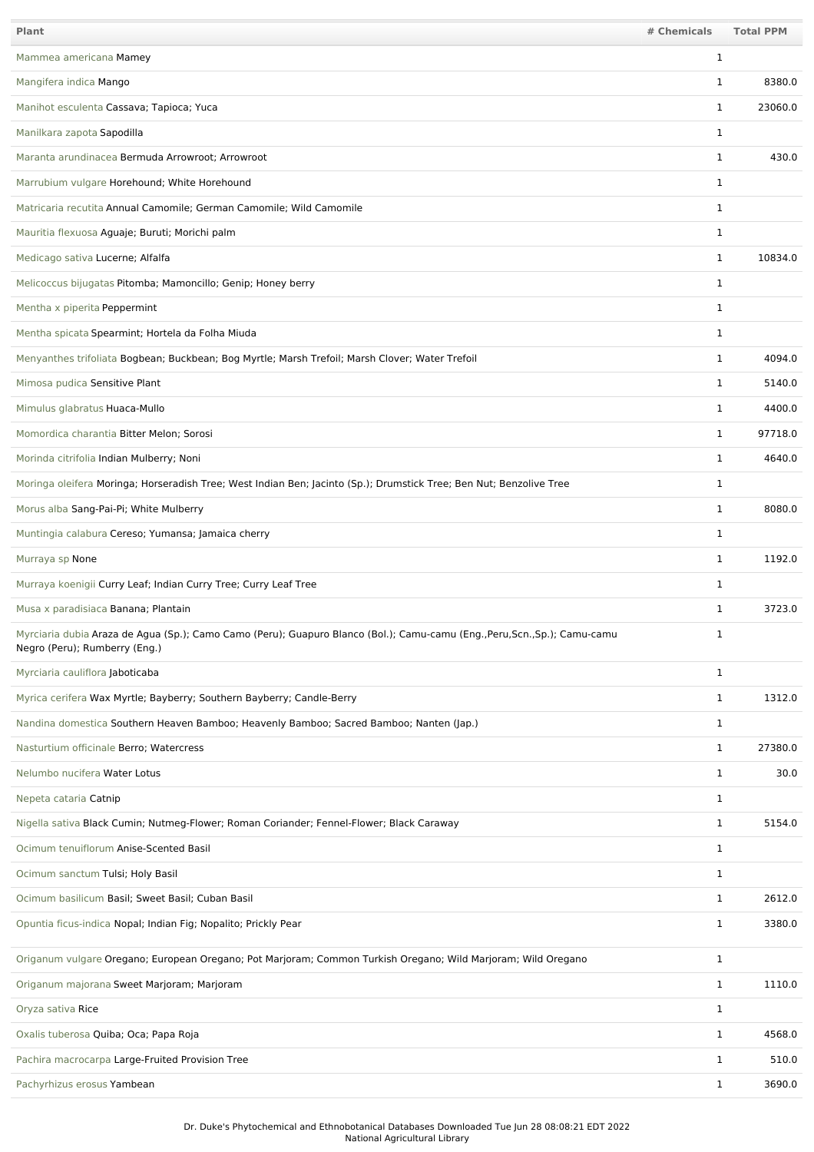| Plant                                                                                                                                                    | # Chemicals  | <b>Total PPM</b> |
|----------------------------------------------------------------------------------------------------------------------------------------------------------|--------------|------------------|
| Mammea americana Mamey                                                                                                                                   | 1            |                  |
| Mangifera indica Mango                                                                                                                                   | 1            | 8380.0           |
| Manihot esculenta Cassava; Tapioca; Yuca                                                                                                                 | 1            | 23060.0          |
| Manilkara zapota Sapodilla                                                                                                                               | 1            |                  |
| Maranta arundinacea Bermuda Arrowroot; Arrowroot                                                                                                         | 1            | 430.0            |
| Marrubium vulgare Horehound; White Horehound                                                                                                             | 1            |                  |
| Matricaria recutita Annual Camomile; German Camomile; Wild Camomile                                                                                      | 1            |                  |
| Mauritia flexuosa Aguaje; Buruti; Morichi palm                                                                                                           | 1            |                  |
| Medicago sativa Lucerne; Alfalfa                                                                                                                         | 1            | 10834.0          |
| Melicoccus bijugatas Pitomba; Mamoncillo; Genip; Honey berry                                                                                             | 1            |                  |
| Mentha x piperita Peppermint                                                                                                                             | 1            |                  |
| Mentha spicata Spearmint; Hortela da Folha Miuda                                                                                                         | 1            |                  |
| Menyanthes trifoliata Bogbean; Buckbean; Bog Myrtle; Marsh Trefoil; Marsh Clover; Water Trefoil                                                          | 1            | 4094.0           |
| Mimosa pudica Sensitive Plant                                                                                                                            | 1            | 5140.0           |
| Mimulus glabratus Huaca-Mullo                                                                                                                            | 1            | 4400.0           |
| Momordica charantia Bitter Melon; Sorosi                                                                                                                 | 1            | 97718.0          |
| Morinda citrifolia Indian Mulberry; Noni                                                                                                                 | 1            | 4640.0           |
| Moringa oleifera Moringa; Horseradish Tree; West Indian Ben; Jacinto (Sp.); Drumstick Tree; Ben Nut; Benzolive Tree                                      | 1            |                  |
| Morus alba Sang-Pai-Pi; White Mulberry                                                                                                                   | 1            | 8080.0           |
| Muntingia calabura Cereso; Yumansa; Jamaica cherry                                                                                                       | 1            |                  |
| Murraya sp None                                                                                                                                          | 1            | 1192.0           |
| Murraya koenigii Curry Leaf; Indian Curry Tree; Curry Leaf Tree                                                                                          | 1            |                  |
| Musa x paradisiaca Banana; Plantain                                                                                                                      | 1            | 3723.0           |
| Myrciaria dubia Araza de Agua (Sp.); Camo Camo (Peru); Guapuro Blanco (Bol.); Camu-camu (Eng.,Peru,Scn.,Sp.); Camu-camu<br>Negro (Peru); Rumberry (Eng.) | ı            |                  |
| Myrciaria cauliflora Jaboticaba                                                                                                                          | $\mathbf{1}$ |                  |
| Myrica cerifera Wax Myrtle; Bayberry; Southern Bayberry; Candle-Berry                                                                                    | 1            | 1312.0           |
| Nandina domestica Southern Heaven Bamboo; Heavenly Bamboo; Sacred Bamboo; Nanten (Jap.)                                                                  | 1            |                  |
| Nasturtium officinale Berro; Watercress                                                                                                                  | 1            | 27380.0          |
| Nelumbo nucifera Water Lotus                                                                                                                             | 1            | 30.0             |
| Nepeta cataria Catnip                                                                                                                                    | 1            |                  |
| Nigella sativa Black Cumin; Nutmeg-Flower; Roman Coriander; Fennel-Flower; Black Caraway                                                                 | 1            | 5154.0           |
| Ocimum tenuiflorum Anise-Scented Basil                                                                                                                   | 1            |                  |
| Ocimum sanctum Tulsi; Holy Basil                                                                                                                         | $\mathbf{1}$ |                  |
| Ocimum basilicum Basil; Sweet Basil; Cuban Basil                                                                                                         | 1            | 2612.0           |
| Opuntia ficus-indica Nopal; Indian Fig; Nopalito; Prickly Pear                                                                                           | 1            | 3380.0           |
| Origanum vulgare Oregano; European Oregano; Pot Marjoram; Common Turkish Oregano; Wild Marjoram; Wild Oregano                                            | 1            |                  |
| Origanum majorana Sweet Marjoram; Marjoram                                                                                                               | 1            | 1110.0           |
| Oryza sativa Rice                                                                                                                                        | 1            |                  |
| Oxalis tuberosa Quiba; Oca; Papa Roja                                                                                                                    | $\mathbf{1}$ | 4568.0           |
| Pachira macrocarpa Large-Fruited Provision Tree                                                                                                          | 1            | 510.0            |
|                                                                                                                                                          |              |                  |
| Pachyrhizus erosus Yambean                                                                                                                               | $\mathbf{1}$ | 3690.0           |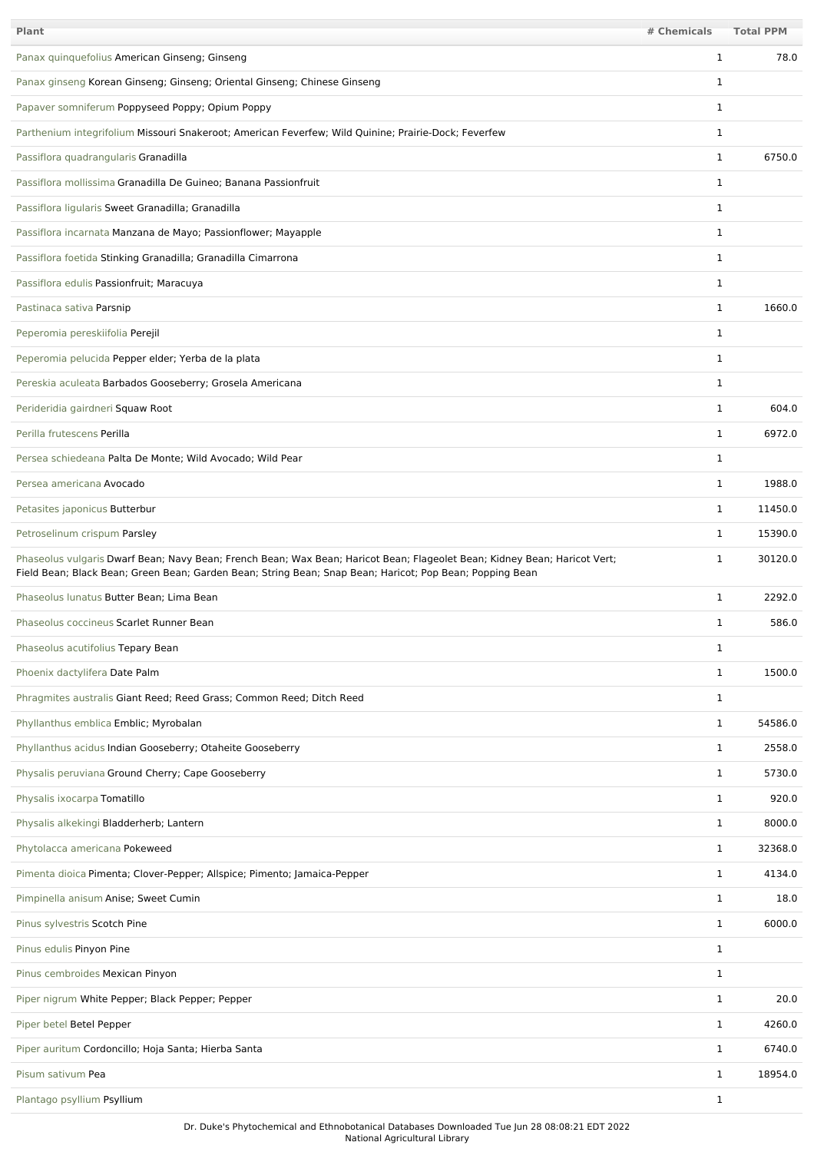| <b>Plant</b>                                                                                                                                                                                                                          | # Chemicals  | <b>Total PPM</b> |
|---------------------------------------------------------------------------------------------------------------------------------------------------------------------------------------------------------------------------------------|--------------|------------------|
| Panax quinquefolius American Ginseng; Ginseng                                                                                                                                                                                         | $\mathbf 1$  | 78.0             |
| Panax ginseng Korean Ginseng; Ginseng; Oriental Ginseng; Chinese Ginseng                                                                                                                                                              | 1            |                  |
| Papaver somniferum Poppyseed Poppy; Opium Poppy                                                                                                                                                                                       | $\mathbf 1$  |                  |
| Parthenium integrifolium Missouri Snakeroot; American Feverfew; Wild Quinine; Prairie-Dock; Feverfew                                                                                                                                  | $\mathbf{1}$ |                  |
| Passiflora quadrangularis Granadilla                                                                                                                                                                                                  | $\mathbf{1}$ | 6750.0           |
| Passiflora mollissima Granadilla De Guineo; Banana Passionfruit                                                                                                                                                                       | $\mathbf{1}$ |                  |
| Passiflora ligularis Sweet Granadilla; Granadilla                                                                                                                                                                                     | $\mathbf{1}$ |                  |
| Passiflora incarnata Manzana de Mayo; Passionflower; Mayapple                                                                                                                                                                         | $\mathbf{1}$ |                  |
| Passiflora foetida Stinking Granadilla; Granadilla Cimarrona                                                                                                                                                                          | $\mathbf{1}$ |                  |
| Passiflora edulis Passionfruit; Maracuya                                                                                                                                                                                              | $\mathbf{1}$ |                  |
| Pastinaca sativa Parsnip                                                                                                                                                                                                              | $\mathbf{1}$ | 1660.0           |
| Peperomia pereskiifolia Perejil                                                                                                                                                                                                       | $\mathbf{1}$ |                  |
| Peperomia pelucida Pepper elder; Yerba de la plata                                                                                                                                                                                    | 1            |                  |
| Pereskia aculeata Barbados Gooseberry; Grosela Americana                                                                                                                                                                              | $\mathbf 1$  |                  |
| Perideridia gairdneri Squaw Root                                                                                                                                                                                                      | 1            | 604.0            |
| Perilla frutescens Perilla                                                                                                                                                                                                            | $\mathbf{1}$ | 6972.0           |
| Persea schiedeana Palta De Monte; Wild Avocado; Wild Pear                                                                                                                                                                             | $\mathbf{1}$ |                  |
| Persea americana Avocado                                                                                                                                                                                                              | $\mathbf{1}$ | 1988.0           |
| Petasites japonicus Butterbur                                                                                                                                                                                                         | $\mathbf{1}$ | 11450.0          |
| Petroselinum crispum Parsley                                                                                                                                                                                                          | $\mathbf{1}$ | 15390.0          |
| Phaseolus vulgaris Dwarf Bean; Navy Bean; French Bean; Wax Bean; Haricot Bean; Flageolet Bean; Kidney Bean; Haricot Vert;<br>Field Bean; Black Bean; Green Bean; Garden Bean; String Bean; Snap Bean; Haricot; Pop Bean; Popping Bean | 1            | 30120.0          |
| Phaseolus lunatus Butter Bean; Lima Bean                                                                                                                                                                                              | $\mathbf{1}$ | 2292.0           |
| Phaseolus coccineus Scarlet Runner Bean                                                                                                                                                                                               | 1            | 586.0            |
| Phaseolus acutifolius Tepary Bean                                                                                                                                                                                                     | 1            |                  |
| Phoenix dactylifera Date Palm                                                                                                                                                                                                         | $\mathbf{1}$ | 1500.0           |
| Phragmites australis Giant Reed; Reed Grass; Common Reed; Ditch Reed                                                                                                                                                                  | 1            |                  |
| Phyllanthus emblica Emblic; Myrobalan                                                                                                                                                                                                 | $\mathbf{1}$ | 54586.0          |
| Phyllanthus acidus Indian Gooseberry; Otaheite Gooseberry                                                                                                                                                                             | 1            | 2558.0           |
| Physalis peruviana Ground Cherry; Cape Gooseberry                                                                                                                                                                                     | $\mathbf{1}$ | 5730.0           |
| Physalis ixocarpa Tomatillo                                                                                                                                                                                                           | $\mathbf{1}$ | 920.0            |
| Physalis alkekingi Bladderherb; Lantern                                                                                                                                                                                               | $\mathbf{1}$ | 8000.0           |
| Phytolacca americana Pokeweed                                                                                                                                                                                                         | $\mathbf{1}$ | 32368.0          |
| Pimenta dioica Pimenta; Clover-Pepper; Allspice; Pimento; Jamaica-Pepper                                                                                                                                                              | $\mathbf{1}$ | 4134.0           |
| Pimpinella anisum Anise; Sweet Cumin                                                                                                                                                                                                  | $\mathbf{1}$ | 18.0             |
| Pinus sylvestris Scotch Pine                                                                                                                                                                                                          | $\mathbf{1}$ | 6000.0           |
| Pinus edulis Pinyon Pine                                                                                                                                                                                                              | $\mathbf{1}$ |                  |
| Pinus cembroides Mexican Pinyon                                                                                                                                                                                                       | 1            |                  |
| Piper nigrum White Pepper; Black Pepper; Pepper                                                                                                                                                                                       | 1            | 20.0             |
| Piper betel Betel Pepper                                                                                                                                                                                                              | 1            | 4260.0           |
| Piper auritum Cordoncillo; Hoja Santa; Hierba Santa                                                                                                                                                                                   | $\mathbf{1}$ | 6740.0           |
| Pisum sativum Pea                                                                                                                                                                                                                     | 1            | 18954.0          |
| Plantago psyllium Psyllium                                                                                                                                                                                                            | $\mathbf{1}$ |                  |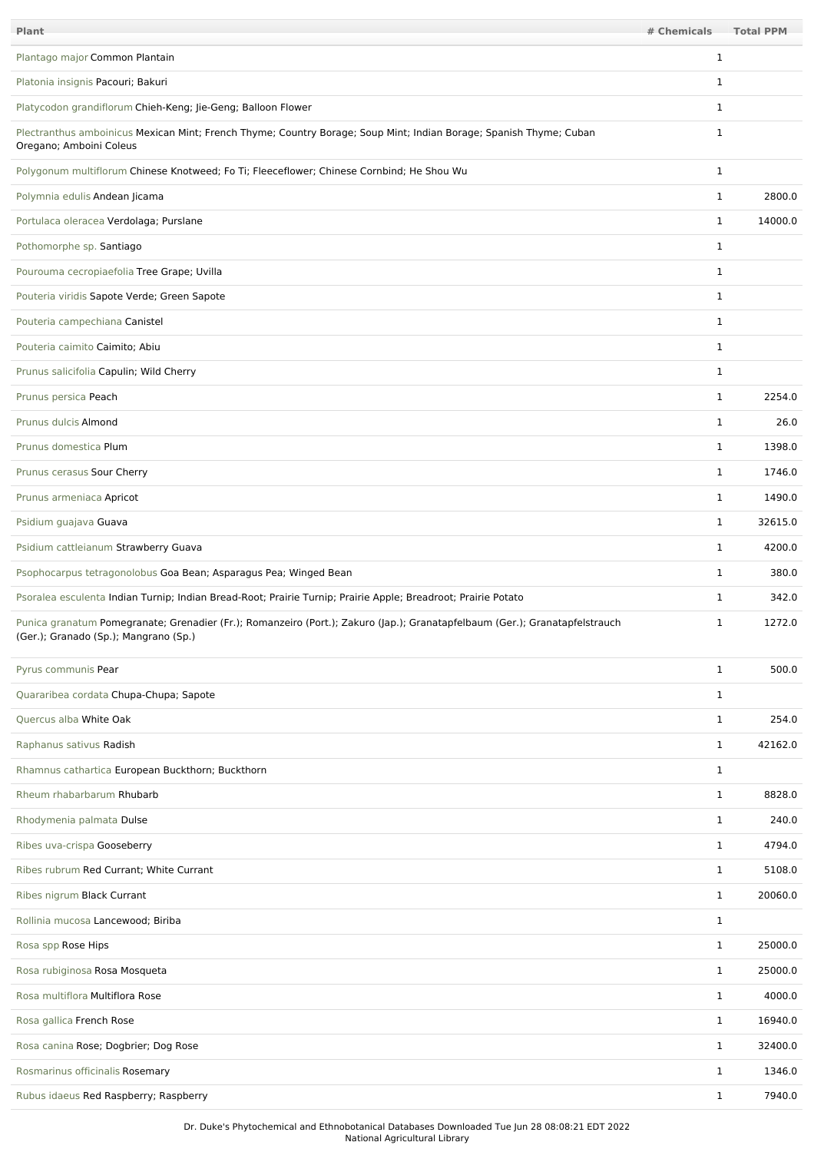| Plant                                                                                                                                                                | # Chemicals  | <b>Total PPM</b> |
|----------------------------------------------------------------------------------------------------------------------------------------------------------------------|--------------|------------------|
| Plantago major Common Plantain                                                                                                                                       | 1            |                  |
| Platonia insignis Pacouri; Bakuri                                                                                                                                    | 1            |                  |
| Platycodon grandiflorum Chieh-Keng; Jie-Geng; Balloon Flower                                                                                                         | $\mathbf 1$  |                  |
| Plectranthus amboinicus Mexican Mint; French Thyme; Country Borage; Soup Mint; Indian Borage; Spanish Thyme; Cuban<br>Oregano; Amboini Coleus                        | 1            |                  |
| Polygonum multiflorum Chinese Knotweed; Fo Ti; Fleeceflower; Chinese Cornbind; He Shou Wu                                                                            | $\mathbf{1}$ |                  |
| Polymnia edulis Andean Jicama                                                                                                                                        | 1            | 2800.0           |
| Portulaca oleracea Verdolaga; Purslane                                                                                                                               | $\mathbf{1}$ | 14000.0          |
| Pothomorphe sp. Santiago                                                                                                                                             | $\mathbf 1$  |                  |
| Pourouma cecropiaefolia Tree Grape; Uvilla                                                                                                                           | $\mathbf 1$  |                  |
| Pouteria viridis Sapote Verde; Green Sapote                                                                                                                          | $\mathbf{1}$ |                  |
| Pouteria campechiana Canistel                                                                                                                                        | $\mathbf 1$  |                  |
| Pouteria caimito Caimito; Abiu                                                                                                                                       | $\mathbf{1}$ |                  |
| Prunus salicifolia Capulin; Wild Cherry                                                                                                                              | 1            |                  |
| Prunus persica Peach                                                                                                                                                 | $\mathbf{1}$ | 2254.0           |
| Prunus dulcis Almond                                                                                                                                                 | $\mathbf{1}$ | 26.0             |
| Prunus domestica Plum                                                                                                                                                | $\mathbf{1}$ | 1398.0           |
| Prunus cerasus Sour Cherry                                                                                                                                           | $\mathbf{1}$ | 1746.0           |
| Prunus armeniaca Apricot                                                                                                                                             | $\mathbf{1}$ | 1490.0           |
| Psidium guajava Guava                                                                                                                                                | 1            | 32615.0          |
| Psidium cattleianum Strawberry Guava                                                                                                                                 | $\mathbf{1}$ | 4200.0           |
| Psophocarpus tetragonolobus Goa Bean; Asparagus Pea; Winged Bean                                                                                                     | 1            | 380.0            |
| Psoralea esculenta Indian Turnip; Indian Bread-Root; Prairie Turnip; Prairie Apple; Breadroot; Prairie Potato                                                        | 1            | 342.0            |
| Punica granatum Pomegranate; Grenadier (Fr.); Romanzeiro (Port.); Zakuro (Jap.); Granatapfelbaum (Ger.); Granatapfelstrauch<br>(Ger.); Granado (Sp.); Mangrano (Sp.) | $\mathbf{1}$ | 1272.0           |
| Pyrus communis Pear                                                                                                                                                  | $\mathbf{1}$ | 500.0            |
| Quararibea cordata Chupa-Chupa; Sapote                                                                                                                               | $\mathbf{1}$ |                  |
| Quercus alba White Oak                                                                                                                                               | $\mathbf{1}$ | 254.0            |
| Raphanus sativus Radish                                                                                                                                              | 1            | 42162.0          |
| Rhamnus cathartica European Buckthorn; Buckthorn                                                                                                                     | $\mathbf{1}$ |                  |
| Rheum rhabarbarum Rhubarb                                                                                                                                            | $\mathbf{1}$ | 8828.0           |
| Rhodymenia palmata Dulse                                                                                                                                             | $\mathbf{1}$ | 240.0            |
| Ribes uva-crispa Gooseberry                                                                                                                                          | $\mathbf{1}$ | 4794.0           |
| Ribes rubrum Red Currant; White Currant                                                                                                                              | $\mathbf{1}$ | 5108.0           |
| Ribes nigrum Black Currant                                                                                                                                           | $\mathbf{1}$ | 20060.0          |
| Rollinia mucosa Lancewood; Biriba                                                                                                                                    | $\mathbf{1}$ |                  |
| Rosa spp Rose Hips                                                                                                                                                   | $\mathbf{1}$ | 25000.0          |
| Rosa rubiginosa Rosa Mosqueta                                                                                                                                        | $\mathbf{1}$ | 25000.0          |
| Rosa multiflora Multiflora Rose                                                                                                                                      | $\mathbf{1}$ | 4000.0           |
| Rosa gallica French Rose                                                                                                                                             | $\mathbf{1}$ | 16940.0          |
| Rosa canina Rose; Dogbrier; Dog Rose                                                                                                                                 | $\mathbf{1}$ | 32400.0          |
| Rosmarinus officinalis Rosemary                                                                                                                                      | $\mathbf{1}$ | 1346.0           |
| Rubus idaeus Red Raspberry; Raspberry                                                                                                                                | $\mathbf{1}$ | 7940.0           |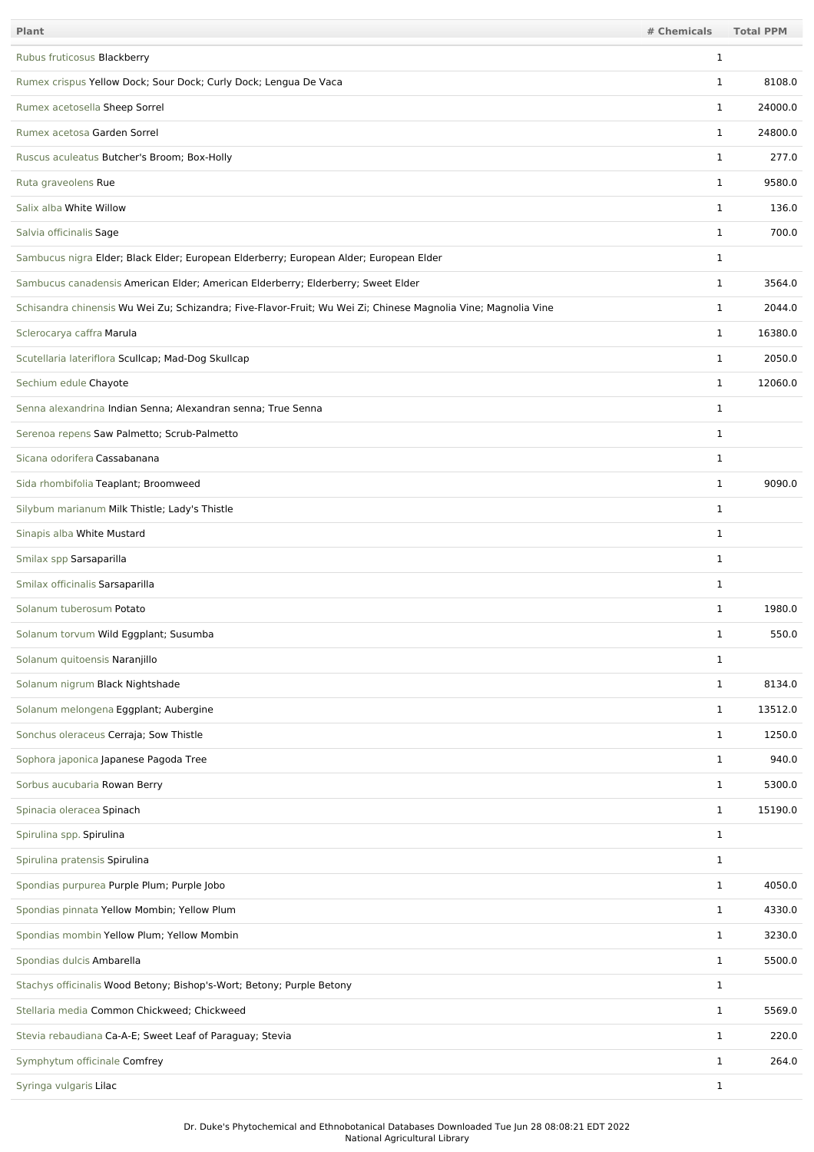| <b>Plant</b>                                                                                                   | # Chemicals  | <b>Total PPM</b> |
|----------------------------------------------------------------------------------------------------------------|--------------|------------------|
| Rubus fruticosus Blackberry                                                                                    | $\mathbf{1}$ |                  |
| Rumex crispus Yellow Dock; Sour Dock; Curly Dock; Lengua De Vaca                                               | $\mathbf{1}$ | 8108.0           |
| Rumex acetosella Sheep Sorrel                                                                                  | $\mathbf{1}$ | 24000.0          |
| Rumex acetosa Garden Sorrel                                                                                    | $\mathbf{1}$ | 24800.0          |
| Ruscus aculeatus Butcher's Broom; Box-Holly                                                                    | $\mathbf{1}$ | 277.0            |
| Ruta graveolens Rue                                                                                            | $\mathbf{1}$ | 9580.0           |
| Salix alba White Willow                                                                                        | $\mathbf{1}$ | 136.0            |
| Salvia officinalis Sage                                                                                        | $\mathbf{1}$ | 700.0            |
| Sambucus nigra Elder; Black Elder; European Elderberry; European Alder; European Elder                         | $\mathbf{1}$ |                  |
| Sambucus canadensis American Elder; American Elderberry; Elderberry; Sweet Elder                               | $\mathbf{1}$ | 3564.0           |
| Schisandra chinensis Wu Wei Zu; Schizandra; Five-Flavor-Fruit; Wu Wei Zi; Chinese Magnolia Vine; Magnolia Vine | 1            | 2044.0           |
| Sclerocarya caffra Marula                                                                                      | $\mathbf{1}$ | 16380.0          |
| Scutellaria lateriflora Scullcap; Mad-Dog Skullcap                                                             | $\mathbf{1}$ | 2050.0           |
| Sechium edule Chayote                                                                                          | $\mathbf{1}$ | 12060.0          |
| Senna alexandrina Indian Senna; Alexandran senna; True Senna                                                   | $\mathbf{1}$ |                  |
| Serenoa repens Saw Palmetto; Scrub-Palmetto                                                                    | $\mathbf 1$  |                  |
| Sicana odorifera Cassabanana                                                                                   | $\mathbf{1}$ |                  |
| Sida rhombifolia Teaplant; Broomweed                                                                           | $\mathbf{1}$ | 9090.0           |
| Silybum marianum Milk Thistle; Lady's Thistle                                                                  | $\mathbf{1}$ |                  |
| Sinapis alba White Mustard                                                                                     | $\mathbf{1}$ |                  |
| Smilax spp Sarsaparilla                                                                                        | $\mathbf{1}$ |                  |
| Smilax officinalis Sarsaparilla                                                                                | $\mathbf{1}$ |                  |
| Solanum tuberosum Potato                                                                                       | $\mathbf{1}$ | 1980.0           |
| Solanum torvum Wild Eggplant; Susumba                                                                          | 1            | 550.0            |
| Solanum quitoensis Naranjillo                                                                                  | $\mathbf 1$  |                  |
| Solanum nigrum Black Nightshade                                                                                | $\mathbf{1}$ | 8134.0           |
| Solanum melongena Eggplant; Aubergine                                                                          | $\mathbf{1}$ | 13512.0          |
| Sonchus oleraceus Cerraja; Sow Thistle                                                                         | $\mathbf{1}$ | 1250.0           |
| Sophora japonica Japanese Pagoda Tree                                                                          | $\mathbf{1}$ | 940.0            |
| Sorbus aucubaria Rowan Berry                                                                                   | $\mathbf{1}$ | 5300.0           |
| Spinacia oleracea Spinach                                                                                      | $\mathbf{1}$ | 15190.0          |
| Spirulina spp. Spirulina                                                                                       | $\mathbf 1$  |                  |
| Spirulina pratensis Spirulina                                                                                  | $\mathbf 1$  |                  |
| Spondias purpurea Purple Plum; Purple Jobo                                                                     | $\mathbf{1}$ | 4050.0           |
| Spondias pinnata Yellow Mombin; Yellow Plum                                                                    | $\mathbf{1}$ | 4330.0           |
| Spondias mombin Yellow Plum; Yellow Mombin                                                                     | $\mathbf{1}$ | 3230.0           |
| Spondias dulcis Ambarella                                                                                      | $\mathbf{1}$ | 5500.0           |
| Stachys officinalis Wood Betony; Bishop's-Wort; Betony; Purple Betony                                          | $\mathbf{1}$ |                  |
| Stellaria media Common Chickweed; Chickweed                                                                    | $\mathbf{1}$ | 5569.0           |
| Stevia rebaudiana Ca-A-E; Sweet Leaf of Paraguay; Stevia                                                       | $\mathbf{1}$ | 220.0            |
| Symphytum officinale Comfrey                                                                                   | $\mathbf{1}$ | 264.0            |
| Syringa vulgaris Lilac                                                                                         | $\mathbf{1}$ |                  |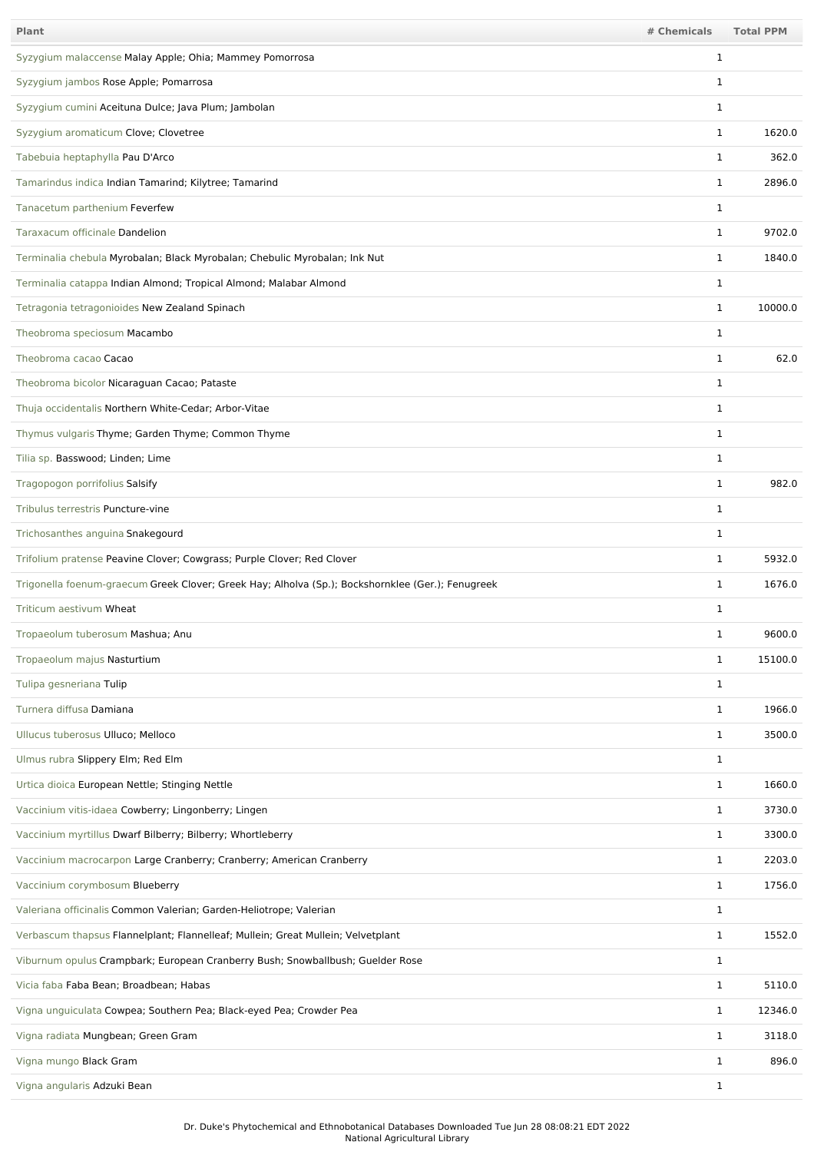| <b>Plant</b>                                                                                      | # Chemicals  | <b>Total PPM</b> |
|---------------------------------------------------------------------------------------------------|--------------|------------------|
| Syzygium malaccense Malay Apple; Ohia; Mammey Pomorrosa                                           | 1            |                  |
| Syzygium jambos Rose Apple; Pomarrosa                                                             | 1            |                  |
| Syzygium cumini Aceituna Dulce; Java Plum; Jambolan                                               | 1            |                  |
| Syzygium aromaticum Clove; Clovetree                                                              | $\mathbf{1}$ | 1620.0           |
| Tabebuia heptaphylla Pau D'Arco                                                                   | $\mathbf{1}$ | 362.0            |
| Tamarindus indica Indian Tamarind; Kilytree; Tamarind                                             | $\mathbf{1}$ | 2896.0           |
| Tanacetum parthenium Feverfew                                                                     | $\mathbf 1$  |                  |
| Taraxacum officinale Dandelion                                                                    | $\mathbf{1}$ | 9702.0           |
| Terminalia chebula Myrobalan; Black Myrobalan; Chebulic Myrobalan; Ink Nut                        | $\mathbf{1}$ | 1840.0           |
| Terminalia catappa Indian Almond; Tropical Almond; Malabar Almond                                 | $\mathbf{1}$ |                  |
| Tetragonia tetragonioides New Zealand Spinach                                                     | $\mathbf{1}$ | 10000.0          |
| Theobroma speciosum Macambo                                                                       | $\mathbf{1}$ |                  |
| Theobroma cacao Cacao                                                                             | $\mathbf{1}$ | 62.0             |
| Theobroma bicolor Nicaraguan Cacao; Pataste                                                       | $\mathbf 1$  |                  |
| Thuja occidentalis Northern White-Cedar; Arbor-Vitae                                              | 1            |                  |
| Thymus vulgaris Thyme; Garden Thyme; Common Thyme                                                 | $\mathbf{1}$ |                  |
| Tilia sp. Basswood; Linden; Lime                                                                  | 1            |                  |
| Tragopogon porrifolius Salsify                                                                    | $\mathbf{1}$ | 982.0            |
| Tribulus terrestris Puncture-vine                                                                 | $\mathbf{1}$ |                  |
| Trichosanthes anguina Snakegourd                                                                  | $\mathbf 1$  |                  |
| Trifolium pratense Peavine Clover; Cowgrass; Purple Clover; Red Clover                            | $\mathbf{1}$ | 5932.0           |
| Trigonella foenum-graecum Greek Clover; Greek Hay; Alholva (Sp.); Bockshornklee (Ger.); Fenugreek | $\mathbf{1}$ | 1676.0           |
| Triticum aestivum Wheat                                                                           | 1            |                  |
| Tropaeolum tuberosum Mashua; Anu                                                                  | 1            | 9600.0           |
| Tropaeolum majus Nasturtium                                                                       | $\mathbf{1}$ | 15100.0          |
| Tulipa gesneriana Tulip                                                                           | $\mathbf{1}$ |                  |
| Turnera diffusa Damiana                                                                           | $\mathbf{1}$ | 1966.0           |
| Ullucus tuberosus Ulluco; Melloco                                                                 | $\mathbf{1}$ | 3500.0           |
| Ulmus rubra Slippery Elm; Red Elm                                                                 | $\mathbf{1}$ |                  |
| Urtica dioica European Nettle; Stinging Nettle                                                    | $\mathbf{1}$ | 1660.0           |
| Vaccinium vitis-idaea Cowberry; Lingonberry; Lingen                                               | $\mathbf{1}$ | 3730.0           |
| Vaccinium myrtillus Dwarf Bilberry; Bilberry; Whortleberry                                        | $\mathbf{1}$ | 3300.0           |
| Vaccinium macrocarpon Large Cranberry; Cranberry; American Cranberry                              | $\mathbf{1}$ | 2203.0           |
| Vaccinium corymbosum Blueberry                                                                    | $\mathbf{1}$ | 1756.0           |
| Valeriana officinalis Common Valerian; Garden-Heliotrope; Valerian                                | $\mathbf{1}$ |                  |
| Verbascum thapsus Flannelplant; Flannelleaf; Mullein; Great Mullein; Velvetplant                  | $\mathbf{1}$ | 1552.0           |
| Viburnum opulus Crampbark; European Cranberry Bush; Snowballbush; Guelder Rose                    | $\mathbf{1}$ |                  |
| Vicia faba Faba Bean; Broadbean; Habas                                                            | $\mathbf{1}$ | 5110.0           |
| Vigna unguiculata Cowpea; Southern Pea; Black-eyed Pea; Crowder Pea                               | $\mathbf{1}$ | 12346.0          |
| Vigna radiata Mungbean; Green Gram                                                                | $\mathbf{1}$ | 3118.0           |
| Vigna mungo Black Gram                                                                            | $\mathbf{1}$ | 896.0            |
| Vigna angularis Adzuki Bean                                                                       | $\mathbf{1}$ |                  |